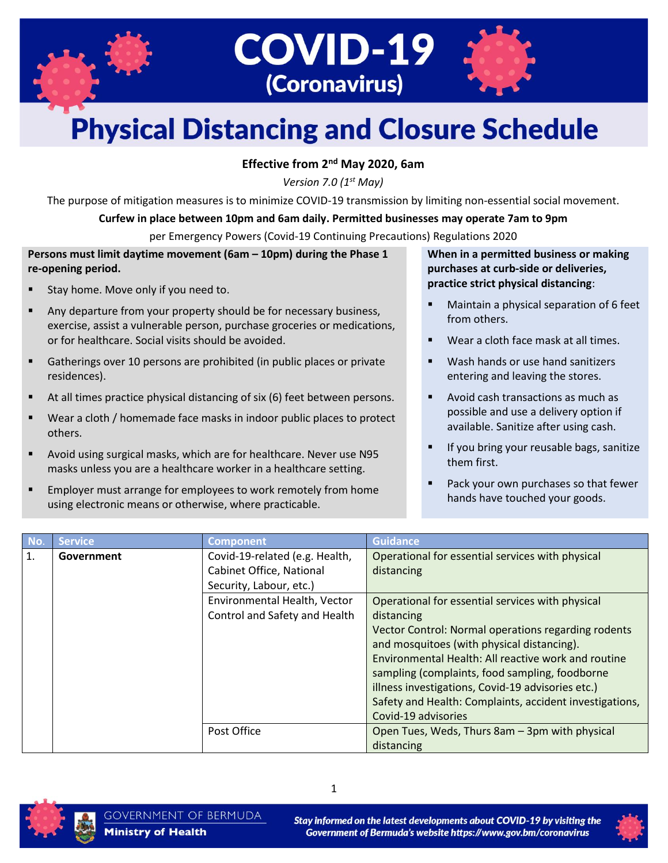



# **Physical Distancing and Closure Schedule**

#### **Effective from 2nd May 2020, 6am**

*Version 7.0 (1 st May)*

The purpose of mitigation measures is to minimize COVID-19 transmission by limiting non-essential social movement.

#### **Curfew in place between 10pm and 6am daily. Permitted businesses may operate 7am to 9pm**

per Emergency Powers (Covid-19 Continuing Precautions) Regulations 2020

#### **Persons must limit daytime movement (6am – 10pm) during the Phase 1 re-opening period.**

- Stay home. Move only if you need to.
- Any departure from your property should be for necessary business, exercise, assist a vulnerable person, purchase groceries or medications, or for healthcare. Social visits should be avoided.
- Gatherings over 10 persons are prohibited (in public places or private residences).
- At all times practice physical distancing of six (6) feet between persons.
- Wear a cloth / homemade face masks in indoor public places to protect others.
- Avoid using surgical masks, which are for healthcare. Never use N95 masks unless you are a healthcare worker in a healthcare setting.
- Employer must arrange for employees to work remotely from home using electronic means or otherwise, where practicable.

**When in a permitted business or making purchases at curb-side or deliveries, practice strict physical distancing**:

- Maintain a physical separation of 6 feet from others.
- Wear a cloth face mask at all times.
- Wash hands or use hand sanitizers entering and leaving the stores.
- Avoid cash transactions as much as possible and use a delivery option if available. Sanitize after using cash.
- If you bring your reusable bags, sanitize them first.
- Pack your own purchases so that fewer hands have touched your goods.

| l No | <b>Service</b> | <b>Component</b>               | <b>Guidance</b>                                         |
|------|----------------|--------------------------------|---------------------------------------------------------|
| 1.   | Government     | Covid-19-related (e.g. Health, | Operational for essential services with physical        |
|      |                | Cabinet Office, National       | distancing                                              |
|      |                | Security, Labour, etc.)        |                                                         |
|      |                | Environmental Health, Vector   | Operational for essential services with physical        |
|      |                | Control and Safety and Health  | distancing                                              |
|      |                |                                | Vector Control: Normal operations regarding rodents     |
|      |                |                                | and mosquitoes (with physical distancing).              |
|      |                |                                | Environmental Health: All reactive work and routine     |
|      |                |                                | sampling (complaints, food sampling, foodborne          |
|      |                |                                | illness investigations, Covid-19 advisories etc.)       |
|      |                |                                | Safety and Health: Complaints, accident investigations, |
|      |                |                                | Covid-19 advisories                                     |
|      |                | Post Office                    | Open Tues, Weds, Thurs 8am - 3pm with physical          |
|      |                |                                | distancing                                              |



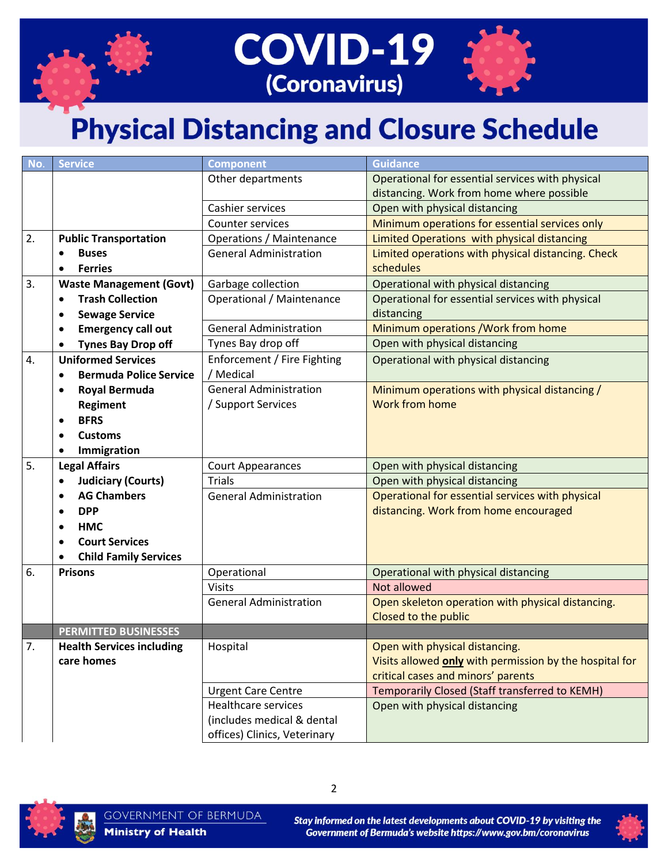

| No. | <b>Service</b>                             | <b>Component</b>                | Guidance                                                |
|-----|--------------------------------------------|---------------------------------|---------------------------------------------------------|
|     |                                            | Other departments               | Operational for essential services with physical        |
|     |                                            |                                 | distancing. Work from home where possible               |
|     |                                            | Cashier services                | Open with physical distancing                           |
|     |                                            | <b>Counter services</b>         | Minimum operations for essential services only          |
| 2.  | <b>Public Transportation</b>               | <b>Operations / Maintenance</b> | Limited Operations with physical distancing             |
|     | <b>Buses</b>                               | <b>General Administration</b>   | Limited operations with physical distancing. Check      |
|     | <b>Ferries</b><br>$\bullet$                |                                 | schedules                                               |
| 3.  | <b>Waste Management (Govt)</b>             | Garbage collection              | Operational with physical distancing                    |
|     | <b>Trash Collection</b><br>$\bullet$       | Operational / Maintenance       | Operational for essential services with physical        |
|     | <b>Sewage Service</b><br>$\bullet$         |                                 | distancing                                              |
|     | <b>Emergency call out</b><br>$\bullet$     | <b>General Administration</b>   | Minimum operations / Work from home                     |
|     | <b>Tynes Bay Drop off</b>                  | Tynes Bay drop off              | Open with physical distancing                           |
| 4.  | <b>Uniformed Services</b>                  | Enforcement / Fire Fighting     | Operational with physical distancing                    |
|     | <b>Bermuda Police Service</b><br>$\bullet$ | / Medical                       |                                                         |
|     | <b>Royal Bermuda</b><br>$\bullet$          | <b>General Administration</b>   | Minimum operations with physical distancing /           |
|     | <b>Regiment</b>                            | / Support Services              | <b>Work from home</b>                                   |
|     | <b>BFRS</b><br>$\bullet$                   |                                 |                                                         |
|     | <b>Customs</b><br>$\bullet$                |                                 |                                                         |
|     | Immigration                                |                                 |                                                         |
| 5.  | <b>Legal Affairs</b>                       | <b>Court Appearances</b>        | Open with physical distancing                           |
|     | <b>Judiciary (Courts)</b><br>$\bullet$     | <b>Trials</b>                   | Open with physical distancing                           |
|     | <b>AG Chambers</b>                         | <b>General Administration</b>   | Operational for essential services with physical        |
|     | <b>DPP</b><br>٠                            |                                 | distancing. Work from home encouraged                   |
|     | <b>HMC</b><br>$\bullet$                    |                                 |                                                         |
|     | <b>Court Services</b>                      |                                 |                                                         |
|     | <b>Child Family Services</b>               |                                 |                                                         |
| 6.  | <b>Prisons</b>                             | Operational                     | Operational with physical distancing                    |
|     |                                            | <b>Visits</b>                   | Not allowed                                             |
|     |                                            | <b>General Administration</b>   | Open skeleton operation with physical distancing.       |
|     |                                            |                                 | Closed to the public                                    |
|     | <b>PERMITTED BUSINESSES</b>                |                                 |                                                         |
| 7.  | <b>Health Services including</b>           | Hospital                        | Open with physical distancing.                          |
|     | care homes                                 |                                 | Visits allowed only with permission by the hospital for |
|     |                                            |                                 | critical cases and minors' parents                      |
|     |                                            | <b>Urgent Care Centre</b>       | Temporarily Closed (Staff transferred to KEMH)          |
|     |                                            | <b>Healthcare services</b>      | Open with physical distancing                           |
|     |                                            | (includes medical & dental      |                                                         |
|     |                                            | offices) Clinics, Veterinary    |                                                         |



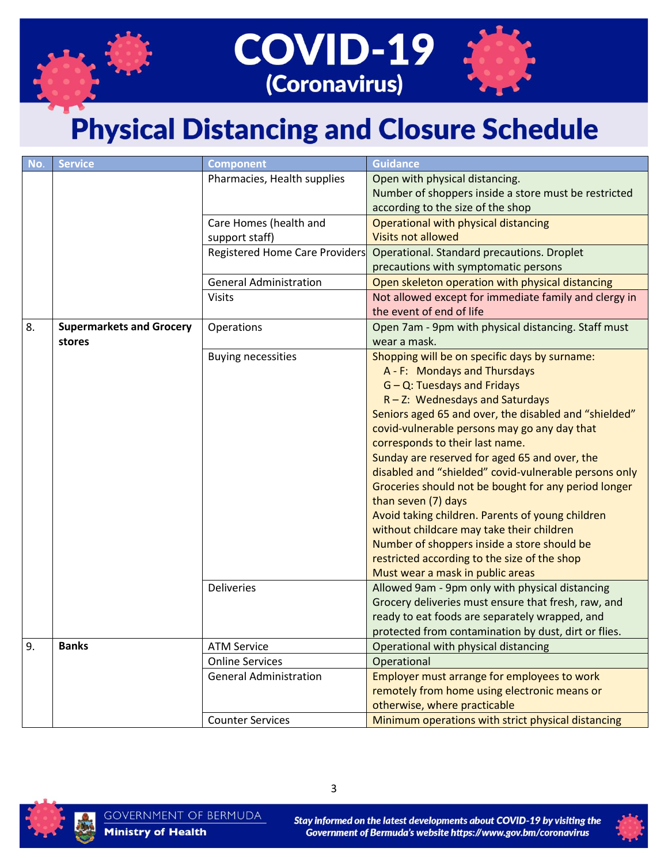



| No. | <b>Service</b>                  | <b>Component</b>               | Guidance                                              |
|-----|---------------------------------|--------------------------------|-------------------------------------------------------|
|     |                                 | Pharmacies, Health supplies    | Open with physical distancing.                        |
|     |                                 |                                | Number of shoppers inside a store must be restricted  |
|     |                                 |                                | according to the size of the shop                     |
|     |                                 | Care Homes (health and         | Operational with physical distancing                  |
|     |                                 | support staff)                 | <b>Visits not allowed</b>                             |
|     |                                 | Registered Home Care Providers | <b>Operational. Standard precautions. Droplet</b>     |
|     |                                 |                                | precautions with symptomatic persons                  |
|     |                                 | <b>General Administration</b>  | Open skeleton operation with physical distancing      |
|     |                                 | <b>Visits</b>                  | Not allowed except for immediate family and clergy in |
|     |                                 |                                | the event of end of life                              |
| 8.  | <b>Supermarkets and Grocery</b> | Operations                     | Open 7am - 9pm with physical distancing. Staff must   |
|     | stores                          |                                | wear a mask.                                          |
|     |                                 | <b>Buying necessities</b>      | Shopping will be on specific days by surname:         |
|     |                                 |                                | A - F: Mondays and Thursdays                          |
|     |                                 |                                | G - Q: Tuesdays and Fridays                           |
|     |                                 |                                | $R - Z$ : Wednesdays and Saturdays                    |
|     |                                 |                                | Seniors aged 65 and over, the disabled and "shielded" |
|     |                                 |                                | covid-vulnerable persons may go any day that          |
|     |                                 |                                | corresponds to their last name.                       |
|     |                                 |                                | Sunday are reserved for aged 65 and over, the         |
|     |                                 |                                | disabled and "shielded" covid-vulnerable persons only |
|     |                                 |                                | Groceries should not be bought for any period longer  |
|     |                                 |                                | than seven (7) days                                   |
|     |                                 |                                | Avoid taking children. Parents of young children      |
|     |                                 |                                | without childcare may take their children             |
|     |                                 |                                | Number of shoppers inside a store should be           |
|     |                                 |                                | restricted according to the size of the shop          |
|     |                                 |                                | Must wear a mask in public areas                      |
|     |                                 | <b>Deliveries</b>              | Allowed 9am - 9pm only with physical distancing       |
|     |                                 |                                | Grocery deliveries must ensure that fresh, raw, and   |
|     |                                 |                                | ready to eat foods are separately wrapped, and        |
|     |                                 |                                | protected from contamination by dust, dirt or flies.  |
| 9.  | <b>Banks</b>                    | <b>ATM Service</b>             | Operational with physical distancing                  |
|     |                                 | <b>Online Services</b>         | Operational                                           |
|     |                                 | <b>General Administration</b>  | Employer must arrange for employees to work           |
|     |                                 |                                | remotely from home using electronic means or          |
|     |                                 |                                | otherwise, where practicable                          |
|     |                                 | <b>Counter Services</b>        | Minimum operations with strict physical distancing    |



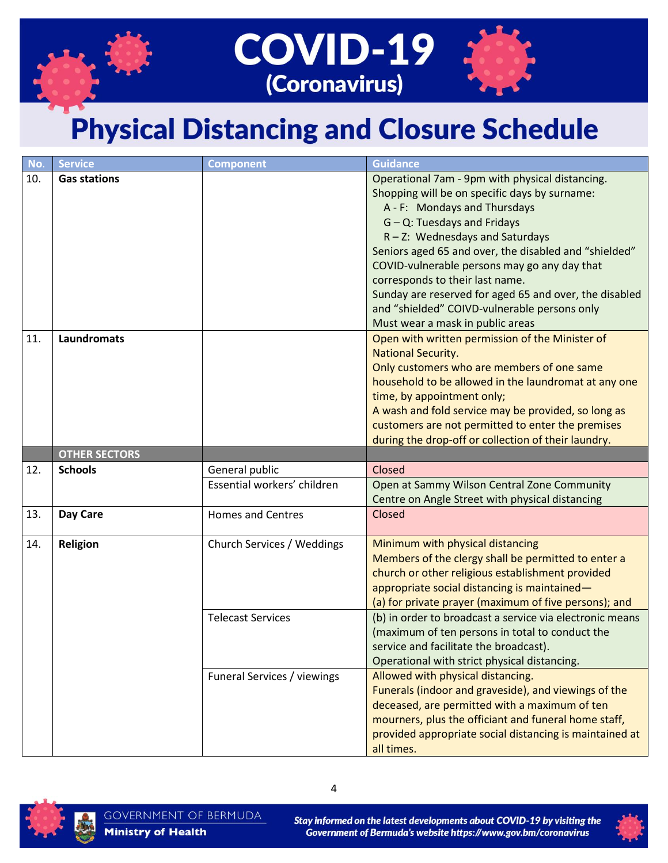



| No. | <b>Service</b>       | <b>Component</b>                                       | Guidance                                                                                                                                                                                                                                                                                                                                                                                                                                                       |
|-----|----------------------|--------------------------------------------------------|----------------------------------------------------------------------------------------------------------------------------------------------------------------------------------------------------------------------------------------------------------------------------------------------------------------------------------------------------------------------------------------------------------------------------------------------------------------|
| 10. | <b>Gas stations</b>  |                                                        | Operational 7am - 9pm with physical distancing.<br>Shopping will be on specific days by surname:<br>A - F: Mondays and Thursdays<br>$G - Q$ : Tuesdays and Fridays<br>$R - Z$ : Wednesdays and Saturdays<br>Seniors aged 65 and over, the disabled and "shielded"<br>COVID-vulnerable persons may go any day that<br>corresponds to their last name.<br>Sunday are reserved for aged 65 and over, the disabled<br>and "shielded" COIVD-vulnerable persons only |
| 11. | <b>Laundromats</b>   |                                                        | Must wear a mask in public areas<br>Open with written permission of the Minister of<br><b>National Security.</b><br>Only customers who are members of one same<br>household to be allowed in the laundromat at any one<br>time, by appointment only;<br>A wash and fold service may be provided, so long as<br>customers are not permitted to enter the premises<br>during the drop-off or collection of their laundry.                                        |
|     | <b>OTHER SECTORS</b> |                                                        |                                                                                                                                                                                                                                                                                                                                                                                                                                                                |
| 12. | <b>Schools</b>       | General public                                         | Closed                                                                                                                                                                                                                                                                                                                                                                                                                                                         |
|     |                      | Essential workers' children                            | Open at Sammy Wilson Central Zone Community<br>Centre on Angle Street with physical distancing                                                                                                                                                                                                                                                                                                                                                                 |
| 13. | Day Care             | <b>Homes and Centres</b>                               | Closed                                                                                                                                                                                                                                                                                                                                                                                                                                                         |
| 14. | Religion             | Church Services / Weddings<br><b>Telecast Services</b> | Minimum with physical distancing<br>Members of the clergy shall be permitted to enter a<br>church or other religious establishment provided<br>appropriate social distancing is maintained-<br>(a) for private prayer (maximum of five persons); and<br>(b) in order to broadcast a service via electronic means                                                                                                                                               |
|     |                      |                                                        | (maximum of ten persons in total to conduct the<br>service and facilitate the broadcast).<br>Operational with strict physical distancing.                                                                                                                                                                                                                                                                                                                      |
|     |                      | Funeral Services / viewings                            | Allowed with physical distancing.<br>Funerals (indoor and graveside), and viewings of the<br>deceased, are permitted with a maximum of ten<br>mourners, plus the officiant and funeral home staff,<br>provided appropriate social distancing is maintained at<br>all times.                                                                                                                                                                                    |



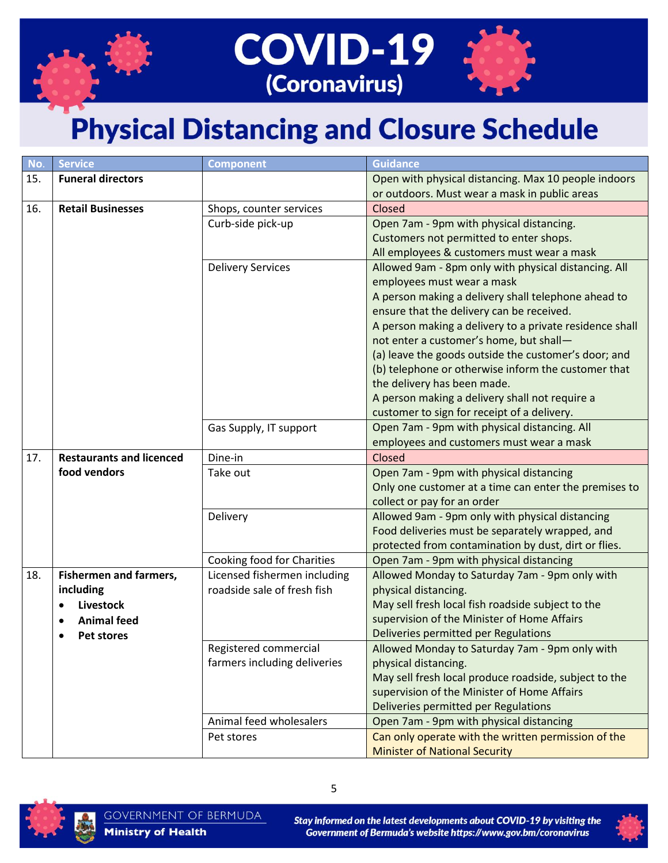

| No. | <b>Service</b>                  | <b>Component</b>             | <b>Guidance</b>                                         |
|-----|---------------------------------|------------------------------|---------------------------------------------------------|
| 15. | <b>Funeral directors</b>        |                              | Open with physical distancing. Max 10 people indoors    |
|     |                                 |                              | or outdoors. Must wear a mask in public areas           |
| 16. | <b>Retail Businesses</b>        | Shops, counter services      | Closed                                                  |
|     |                                 | Curb-side pick-up            | Open 7am - 9pm with physical distancing.                |
|     |                                 |                              | Customers not permitted to enter shops.                 |
|     |                                 |                              | All employees & customers must wear a mask              |
|     |                                 | <b>Delivery Services</b>     | Allowed 9am - 8pm only with physical distancing. All    |
|     |                                 |                              | employees must wear a mask                              |
|     |                                 |                              | A person making a delivery shall telephone ahead to     |
|     |                                 |                              | ensure that the delivery can be received.               |
|     |                                 |                              | A person making a delivery to a private residence shall |
|     |                                 |                              | not enter a customer's home, but shall-                 |
|     |                                 |                              | (a) leave the goods outside the customer's door; and    |
|     |                                 |                              | (b) telephone or otherwise inform the customer that     |
|     |                                 |                              | the delivery has been made.                             |
|     |                                 |                              | A person making a delivery shall not require a          |
|     |                                 |                              | customer to sign for receipt of a delivery.             |
|     |                                 | Gas Supply, IT support       | Open 7am - 9pm with physical distancing. All            |
|     |                                 |                              | employees and customers must wear a mask                |
| 17. | <b>Restaurants and licenced</b> | Dine-in                      | Closed                                                  |
|     | food vendors                    | Take out                     | Open 7am - 9pm with physical distancing                 |
|     |                                 |                              | Only one customer at a time can enter the premises to   |
|     |                                 |                              | collect or pay for an order                             |
|     |                                 | Delivery                     | Allowed 9am - 9pm only with physical distancing         |
|     |                                 |                              | Food deliveries must be separately wrapped, and         |
|     |                                 |                              | protected from contamination by dust, dirt or flies.    |
|     |                                 | Cooking food for Charities   | Open 7am - 9pm with physical distancing                 |
| 18. | <b>Fishermen and farmers,</b>   | Licensed fishermen including | Allowed Monday to Saturday 7am - 9pm only with          |
|     | including                       | roadside sale of fresh fish  | physical distancing.                                    |
|     | <b>Livestock</b>                |                              | May sell fresh local fish roadside subject to the       |
|     | <b>Animal feed</b>              |                              | supervision of the Minister of Home Affairs             |
|     | Pet stores                      |                              | Deliveries permitted per Regulations                    |
|     |                                 | Registered commercial        | Allowed Monday to Saturday 7am - 9pm only with          |
|     |                                 | farmers including deliveries | physical distancing.                                    |
|     |                                 |                              | May sell fresh local produce roadside, subject to the   |
|     |                                 |                              | supervision of the Minister of Home Affairs             |
|     |                                 |                              | Deliveries permitted per Regulations                    |
|     |                                 | Animal feed wholesalers      | Open 7am - 9pm with physical distancing                 |
|     |                                 | Pet stores                   | Can only operate with the written permission of the     |
|     |                                 |                              | <b>Minister of National Security</b>                    |



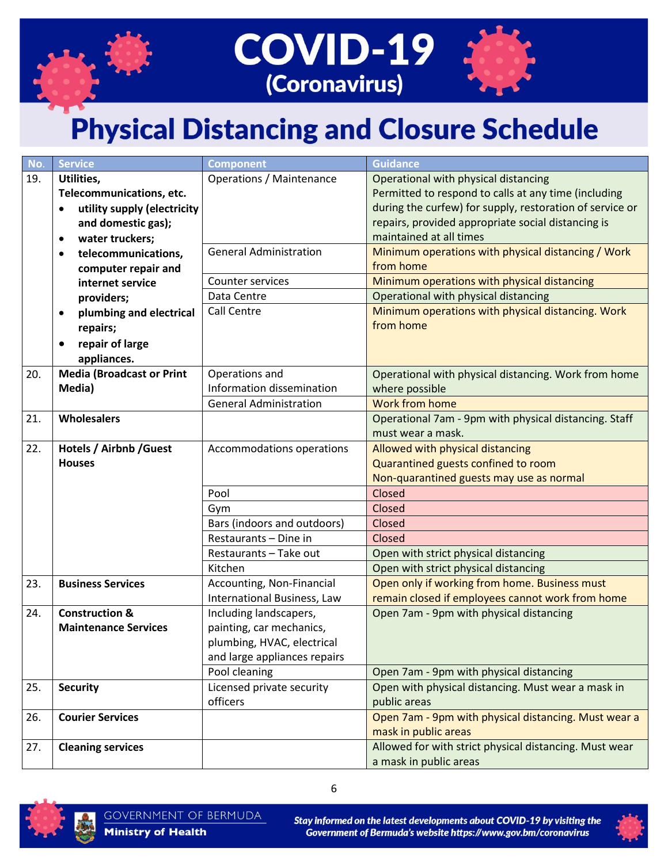



| No. | <b>Service</b>                           | <b>Component</b>                | Guidance                                                 |
|-----|------------------------------------------|---------------------------------|----------------------------------------------------------|
| 19. | Utilities,                               | <b>Operations / Maintenance</b> | Operational with physical distancing                     |
|     | Telecommunications, etc.                 |                                 | Permitted to respond to calls at any time (including     |
|     | utility supply (electricity<br>$\bullet$ |                                 | during the curfew) for supply, restoration of service or |
|     | and domestic gas);                       |                                 | repairs, provided appropriate social distancing is       |
|     | water truckers;<br>$\bullet$             |                                 | maintained at all times                                  |
|     | telecommunications,<br>$\bullet$         | <b>General Administration</b>   | Minimum operations with physical distancing / Work       |
|     | computer repair and                      |                                 | from home                                                |
|     | internet service                         | Counter services                | Minimum operations with physical distancing              |
|     | providers;                               | Data Centre                     | Operational with physical distancing                     |
|     | plumbing and electrical<br>$\bullet$     | Call Centre                     | Minimum operations with physical distancing. Work        |
|     | repairs;                                 |                                 | from home                                                |
|     | repair of large<br>$\bullet$             |                                 |                                                          |
|     | appliances.                              |                                 |                                                          |
| 20. | <b>Media (Broadcast or Print</b>         | Operations and                  | Operational with physical distancing. Work from home     |
|     | Media)                                   | Information dissemination       | where possible                                           |
|     |                                          | <b>General Administration</b>   | <b>Work from home</b>                                    |
| 21. | Wholesalers                              |                                 | Operational 7am - 9pm with physical distancing. Staff    |
|     |                                          |                                 | must wear a mask.                                        |
| 22. | <b>Hotels / Airbnb / Guest</b>           | Accommodations operations       | Allowed with physical distancing                         |
|     | <b>Houses</b>                            |                                 | Quarantined guests confined to room                      |
|     |                                          |                                 | Non-quarantined guests may use as normal                 |
|     |                                          | Pool                            | Closed                                                   |
|     |                                          | Gym                             | Closed                                                   |
|     |                                          | Bars (indoors and outdoors)     | Closed                                                   |
|     |                                          | Restaurants - Dine in           | Closed                                                   |
|     |                                          | Restaurants - Take out          | Open with strict physical distancing                     |
|     |                                          | Kitchen                         | Open with strict physical distancing                     |
| 23. | <b>Business Services</b>                 | Accounting, Non-Financial       | Open only if working from home. Business must            |
|     |                                          | International Business, Law     | remain closed if employees cannot work from home         |
| 24. | <b>Construction &amp;</b>                | Including landscapers,          | Open 7am - 9pm with physical distancing                  |
|     | <b>Maintenance Services</b>              | painting, car mechanics,        |                                                          |
|     |                                          | plumbing, HVAC, electrical      |                                                          |
|     |                                          | and large appliances repairs    |                                                          |
|     |                                          | Pool cleaning                   | Open 7am - 9pm with physical distancing                  |
| 25. | <b>Security</b>                          | Licensed private security       | Open with physical distancing. Must wear a mask in       |
|     |                                          | officers                        | public areas                                             |
| 26. | <b>Courier Services</b>                  |                                 | Open 7am - 9pm with physical distancing. Must wear a     |
|     |                                          |                                 | mask in public areas                                     |
| 27. | <b>Cleaning services</b>                 |                                 | Allowed for with strict physical distancing. Must wear   |
|     |                                          |                                 | a mask in public areas                                   |



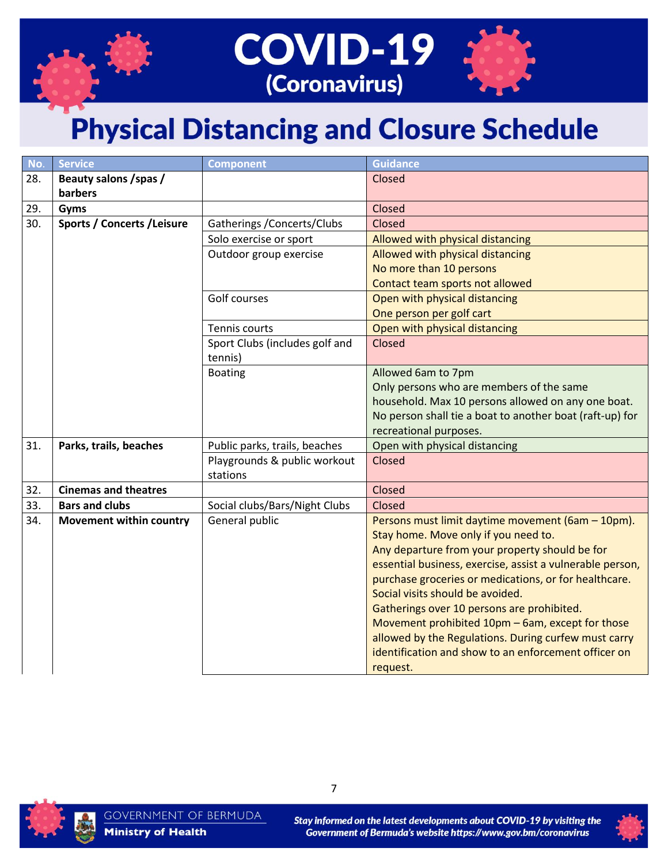



| No. | <b>Service</b>                     | <b>Component</b>               | <b>Guidance</b>                                           |
|-----|------------------------------------|--------------------------------|-----------------------------------------------------------|
| 28. | Beauty salons / spas /             |                                | Closed                                                    |
|     | barbers                            |                                |                                                           |
| 29. | Gyms                               |                                | Closed                                                    |
| 30. | <b>Sports / Concerts / Leisure</b> | Gatherings / Concerts/Clubs    | Closed                                                    |
|     |                                    | Solo exercise or sport         | Allowed with physical distancing                          |
|     |                                    | Outdoor group exercise         | Allowed with physical distancing                          |
|     |                                    |                                | No more than 10 persons                                   |
|     |                                    |                                | Contact team sports not allowed                           |
|     |                                    | Golf courses                   | Open with physical distancing                             |
|     |                                    |                                | One person per golf cart                                  |
|     |                                    | Tennis courts                  | Open with physical distancing                             |
|     |                                    | Sport Clubs (includes golf and | Closed                                                    |
|     |                                    | tennis)                        |                                                           |
|     |                                    | <b>Boating</b>                 | Allowed 6am to 7pm                                        |
|     |                                    |                                | Only persons who are members of the same                  |
|     |                                    |                                | household. Max 10 persons allowed on any one boat.        |
|     |                                    |                                | No person shall tie a boat to another boat (raft-up) for  |
|     |                                    |                                | recreational purposes.                                    |
| 31. | Parks, trails, beaches             | Public parks, trails, beaches  | Open with physical distancing                             |
|     |                                    | Playgrounds & public workout   | Closed                                                    |
|     |                                    | stations                       |                                                           |
| 32. | <b>Cinemas and theatres</b>        |                                | Closed                                                    |
| 33. | <b>Bars and clubs</b>              | Social clubs/Bars/Night Clubs  | Closed                                                    |
| 34. | <b>Movement within country</b>     | General public                 | Persons must limit daytime movement (6am - 10pm).         |
|     |                                    |                                | Stay home. Move only if you need to.                      |
|     |                                    |                                | Any departure from your property should be for            |
|     |                                    |                                | essential business, exercise, assist a vulnerable person, |
|     |                                    |                                | purchase groceries or medications, or for healthcare.     |
|     |                                    |                                | Social visits should be avoided.                          |
|     |                                    |                                | Gatherings over 10 persons are prohibited.                |
|     |                                    |                                | Movement prohibited 10pm - 6am, except for those          |
|     |                                    |                                | allowed by the Regulations. During curfew must carry      |
|     |                                    |                                | identification and show to an enforcement officer on      |
|     |                                    |                                | request.                                                  |